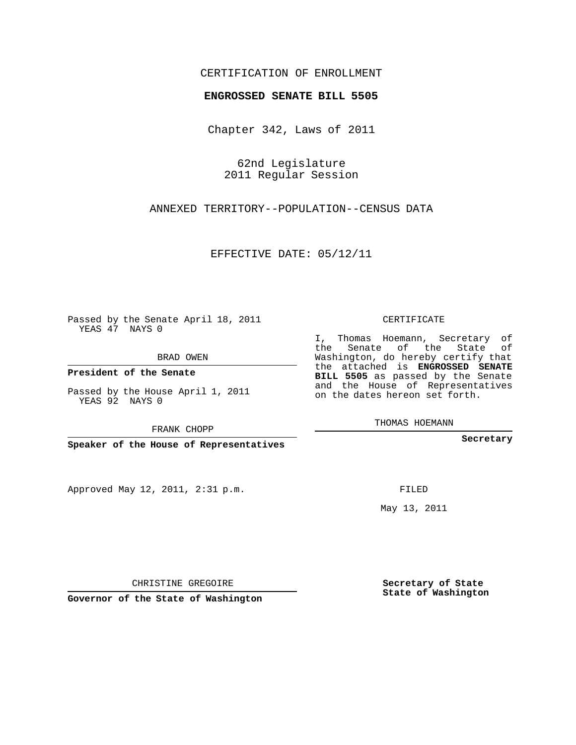## CERTIFICATION OF ENROLLMENT

#### **ENGROSSED SENATE BILL 5505**

Chapter 342, Laws of 2011

62nd Legislature 2011 Regular Session

ANNEXED TERRITORY--POPULATION--CENSUS DATA

EFFECTIVE DATE: 05/12/11

Passed by the Senate April 18, 2011 YEAS 47 NAYS 0

BRAD OWEN

**President of the Senate**

Passed by the House April 1, 2011 YEAS 92 NAYS 0

FRANK CHOPP

**Speaker of the House of Representatives**

Approved May 12, 2011, 2:31 p.m.

CERTIFICATE

I, Thomas Hoemann, Secretary of the Senate of the State of Washington, do hereby certify that the attached is **ENGROSSED SENATE BILL 5505** as passed by the Senate and the House of Representatives on the dates hereon set forth.

THOMAS HOEMANN

**Secretary**

FILED

May 13, 2011

**Secretary of State State of Washington**

CHRISTINE GREGOIRE

**Governor of the State of Washington**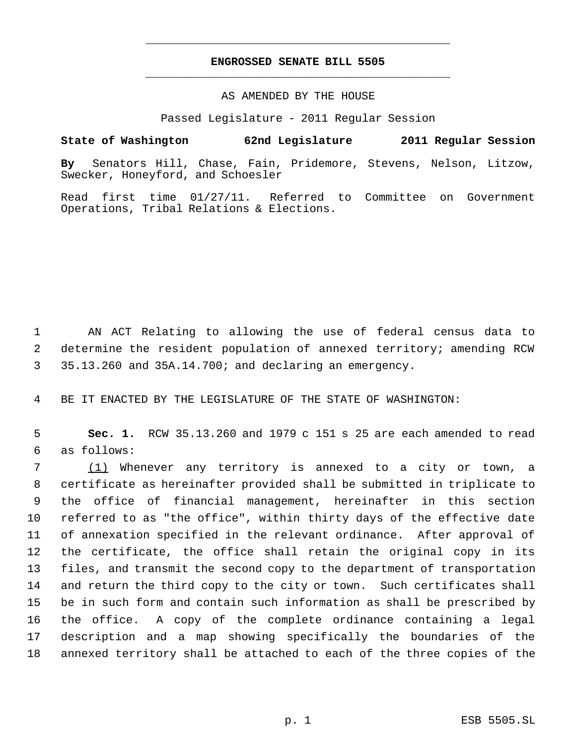# **ENGROSSED SENATE BILL 5505** \_\_\_\_\_\_\_\_\_\_\_\_\_\_\_\_\_\_\_\_\_\_\_\_\_\_\_\_\_\_\_\_\_\_\_\_\_\_\_\_\_\_\_\_\_

\_\_\_\_\_\_\_\_\_\_\_\_\_\_\_\_\_\_\_\_\_\_\_\_\_\_\_\_\_\_\_\_\_\_\_\_\_\_\_\_\_\_\_\_\_

### AS AMENDED BY THE HOUSE

Passed Legislature - 2011 Regular Session

## **State of Washington 62nd Legislature 2011 Regular Session**

**By** Senators Hill, Chase, Fain, Pridemore, Stevens, Nelson, Litzow, Swecker, Honeyford, and Schoesler

Read first time 01/27/11. Referred to Committee on Government Operations, Tribal Relations & Elections.

 AN ACT Relating to allowing the use of federal census data to determine the resident population of annexed territory; amending RCW 35.13.260 and 35A.14.700; and declaring an emergency.

BE IT ENACTED BY THE LEGISLATURE OF THE STATE OF WASHINGTON:

 **Sec. 1.** RCW 35.13.260 and 1979 c 151 s 25 are each amended to read as follows:

 (1) Whenever any territory is annexed to a city or town, a certificate as hereinafter provided shall be submitted in triplicate to the office of financial management, hereinafter in this section referred to as "the office", within thirty days of the effective date of annexation specified in the relevant ordinance. After approval of the certificate, the office shall retain the original copy in its files, and transmit the second copy to the department of transportation and return the third copy to the city or town. Such certificates shall be in such form and contain such information as shall be prescribed by the office. A copy of the complete ordinance containing a legal description and a map showing specifically the boundaries of the annexed territory shall be attached to each of the three copies of the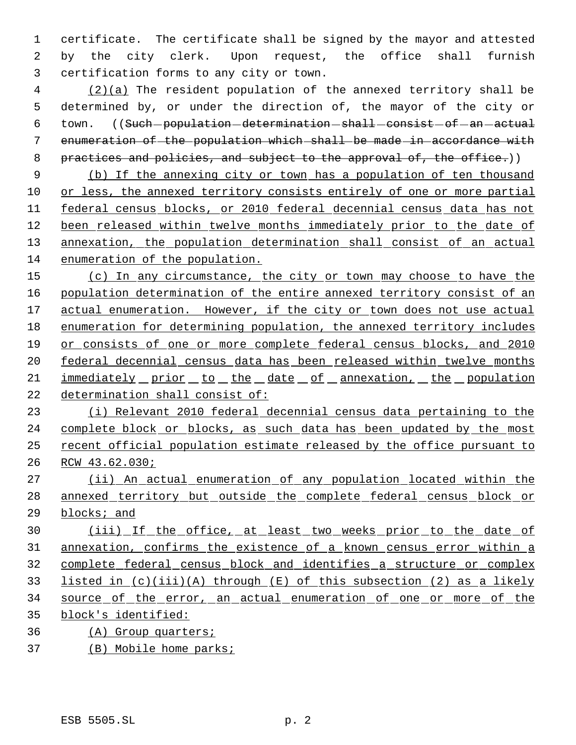certificate. The certificate shall be signed by the mayor and attested by the city clerk. Upon request, the office shall furnish certification forms to any city or town.

 (2)(a) The resident population of the annexed territory shall be determined by, or under the direction of, the mayor of the city or 6 town. ((Such-population-determination-shall-consist-of-an-actual enumeration of the population which shall be made in accordance with practices and policies, and subject to the approval of, the office.))

 (b) If the annexing city or town has a population of ten thousand or less, the annexed territory consists entirely of one or more partial federal census blocks, or 2010 federal decennial census data has not 12 been released within twelve months immediately prior to the date of 13 annexation, the population determination shall consist of an actual enumeration of the population.

15 (c) In any circumstance, the city or town may choose to have the population determination of the entire annexed territory consist of an 17 actual enumeration. However, if the city or town does not use actual enumeration for determining population, the annexed territory includes or consists of one or more complete federal census blocks, and 2010 federal decennial census data has been released within twelve months 21 immediately prior to the date of annexation, the population determination shall consist of:

 (i) Relevant 2010 federal decennial census data pertaining to the 24 complete block or blocks, as such data has been updated by the most recent official population estimate released by the office pursuant to RCW 43.62.030;

 (ii) An actual enumeration of any population located within the 28 annexed territory but outside the complete federal census block or blocks; and

30 (iii) If the office, at least two weeks prior to the date of annexation, confirms the existence of a known census error within a complete federal census block and identifies a structure or complex listed in (c)(iii)(A) through (E) of this subsection (2) as a likely source of the error, an actual enumeration of one or more of the block's identified:

(A) Group quarters;

(B) Mobile home parks;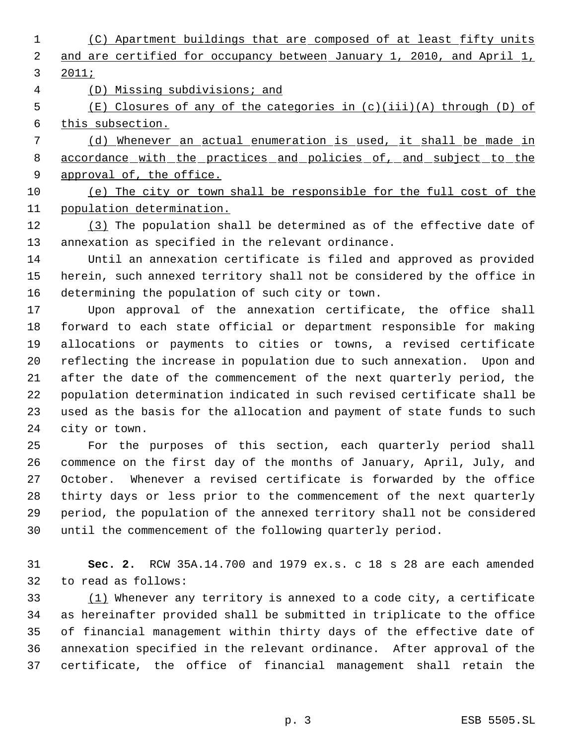- (C) Apartment buildings that are composed of at least fifty units and are certified for occupancy between January 1, 2010, and April 1, 2011;
- (D) Missing subdivisions; and

 (E) Closures of any of the categories in (c)(iii)(A) through (D) of this subsection.

 (d) Whenever an actual enumeration is used, it shall be made in 8 accordance with the practices and policies of, and subject to the 9 approval of, the office.

 (e) The city or town shall be responsible for the full cost of the population determination.

12 (3) The population shall be determined as of the effective date of annexation as specified in the relevant ordinance.

 Until an annexation certificate is filed and approved as provided herein, such annexed territory shall not be considered by the office in determining the population of such city or town.

 Upon approval of the annexation certificate, the office shall forward to each state official or department responsible for making allocations or payments to cities or towns, a revised certificate reflecting the increase in population due to such annexation. Upon and after the date of the commencement of the next quarterly period, the population determination indicated in such revised certificate shall be used as the basis for the allocation and payment of state funds to such city or town.

 For the purposes of this section, each quarterly period shall commence on the first day of the months of January, April, July, and October. Whenever a revised certificate is forwarded by the office thirty days or less prior to the commencement of the next quarterly period, the population of the annexed territory shall not be considered until the commencement of the following quarterly period.

 **Sec. 2.** RCW 35A.14.700 and 1979 ex.s. c 18 s 28 are each amended to read as follows:

 $(1)$  Whenever any territory is annexed to a code city, a certificate as hereinafter provided shall be submitted in triplicate to the office of financial management within thirty days of the effective date of annexation specified in the relevant ordinance. After approval of the certificate, the office of financial management shall retain the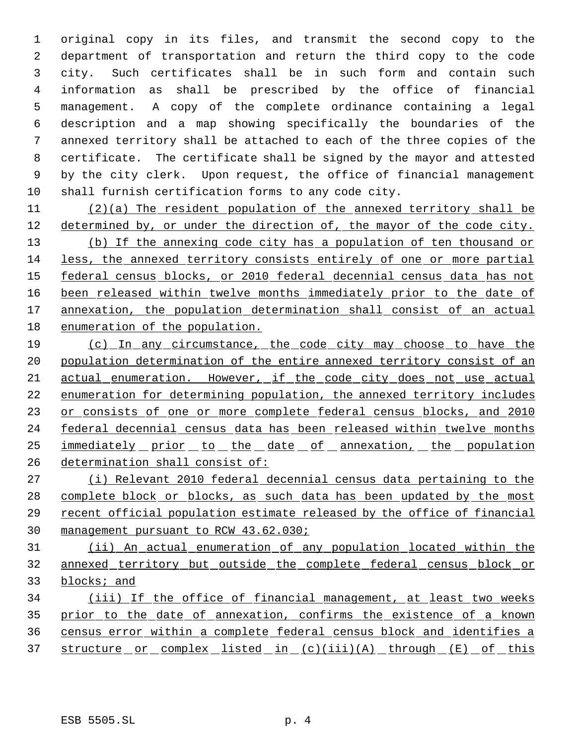original copy in its files, and transmit the second copy to the department of transportation and return the third copy to the code city. Such certificates shall be in such form and contain such information as shall be prescribed by the office of financial management. A copy of the complete ordinance containing a legal description and a map showing specifically the boundaries of the annexed territory shall be attached to each of the three copies of the certificate. The certificate shall be signed by the mayor and attested by the city clerk. Upon request, the office of financial management shall furnish certification forms to any code city.

 (2)(a) The resident population of the annexed territory shall be 12 determined by, or under the direction of, the mayor of the code city.

 (b) If the annexing code city has a population of ten thousand or less, the annexed territory consists entirely of one or more partial federal census blocks, or 2010 federal decennial census data has not 16 been released within twelve months immediately prior to the date of 17 annexation, the population determination shall consist of an actual enumeration of the population.

 (c) In any circumstance, the code city may choose to have the population determination of the entire annexed territory consist of an actual enumeration. However, if the code city does not use actual enumeration for determining population, the annexed territory includes 23 or consists of one or more complete federal census blocks, and 2010 24 federal decennial census data has been released within twelve months 25 immediately prior to the date of annexation, the population determination shall consist of:

 (i) Relevant 2010 federal decennial census data pertaining to the 28 complete block or blocks, as such data has been updated by the most recent official population estimate released by the office of financial management pursuant to RCW 43.62.030;

 (ii) An actual enumeration of any population located within the annexed territory but outside the complete federal census block or blocks; and

 (iii) If the office of financial management, at least two weeks prior to the date of annexation, confirms the existence of a known census error within a complete federal census block and identifies a 37 structure or complex listed in (c)(iii)(A) through (E) of this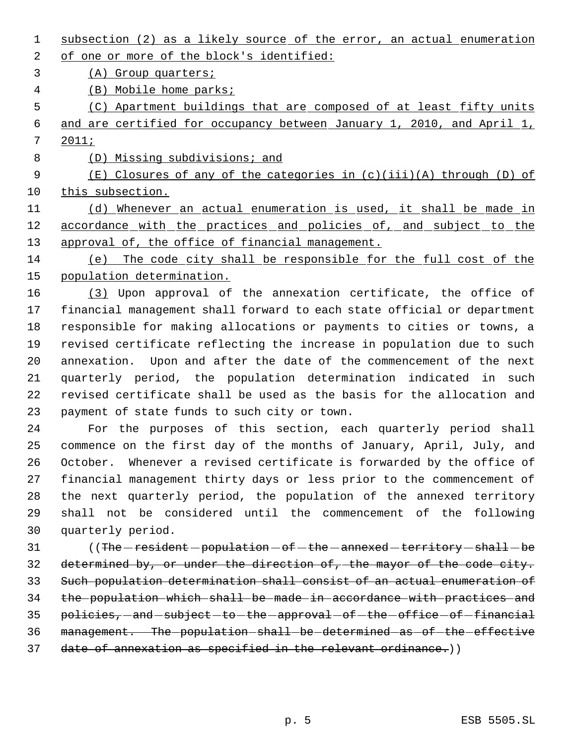- 1 subsection (2) as a likely source of the error, an actual enumeration 2 of one or more of the block's identified: (A) Group quarters; (B) Mobile home parks;
- (C) Apartment buildings that are composed of at least fifty units and are certified for occupancy between January 1, 2010, and April 1,
- 2011;
- (D) Missing subdivisions; and

 (E) Closures of any of the categories in (c)(iii)(A) through (D) of this subsection.

 (d) Whenever an actual enumeration is used, it shall be made in 12 accordance with the practices and policies of, and subject to the 13 approval of, the office of financial management.

 (e) The code city shall be responsible for the full cost of the population determination.

 (3) Upon approval of the annexation certificate, the office of financial management shall forward to each state official or department responsible for making allocations or payments to cities or towns, a revised certificate reflecting the increase in population due to such annexation. Upon and after the date of the commencement of the next quarterly period, the population determination indicated in such revised certificate shall be used as the basis for the allocation and payment of state funds to such city or town.

 For the purposes of this section, each quarterly period shall commence on the first day of the months of January, April, July, and October. Whenever a revised certificate is forwarded by the office of financial management thirty days or less prior to the commencement of the next quarterly period, the population of the annexed territory shall not be considered until the commencement of the following quarterly period.

31 (The - resident - population - of - the - annexed - territory - shall - be determined by, or under the direction of, the mayor of the code city. Such population determination shall consist of an actual enumeration of the population which shall be made in accordance with practices and 35 policies, -and -subject -to -the -approval -of -the -office -of -financial management. The population shall be determined as of the effective 37 date of annexation as specified in the relevant ordinance.))